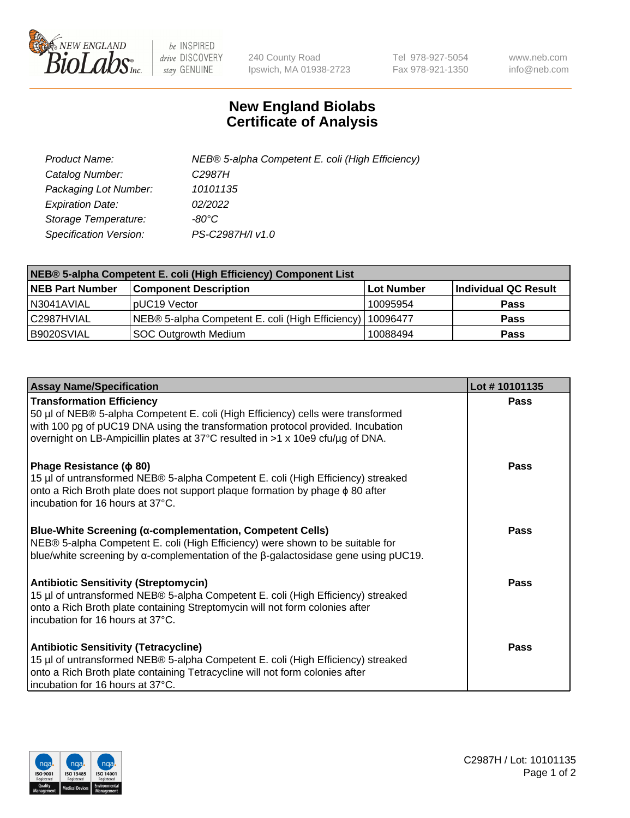

 $be$  INSPIRED drive DISCOVERY stay GENUINE

240 County Road Ipswich, MA 01938-2723 Tel 978-927-5054 Fax 978-921-1350 www.neb.com info@neb.com

## **New England Biolabs Certificate of Analysis**

| Product Name:           | NEB® 5-alpha Competent E. coli (High Efficiency) |
|-------------------------|--------------------------------------------------|
| Catalog Number:         | C <sub>2987</sub> H                              |
| Packaging Lot Number:   | 10101135                                         |
| <b>Expiration Date:</b> | 02/2022                                          |
| Storage Temperature:    | -80°C.                                           |
| Specification Version:  | PS-C2987H/I v1.0                                 |

| NEB® 5-alpha Competent E. coli (High Efficiency) Component List |                                                  |            |                      |  |
|-----------------------------------------------------------------|--------------------------------------------------|------------|----------------------|--|
| <b>NEB Part Number</b>                                          | <b>Component Description</b>                     | Lot Number | Individual QC Result |  |
| N3041AVIAL                                                      | pUC19 Vector                                     | 10095954   | <b>Pass</b>          |  |
| C2987HVIAL                                                      | NEB® 5-alpha Competent E. coli (High Efficiency) | 10096477   | <b>Pass</b>          |  |
| B9020SVIAL                                                      | <b>SOC Outgrowth Medium</b>                      | 10088494   | <b>Pass</b>          |  |

| <b>Assay Name/Specification</b>                                                                                                                                                                                                                                                           | Lot #10101135 |
|-------------------------------------------------------------------------------------------------------------------------------------------------------------------------------------------------------------------------------------------------------------------------------------------|---------------|
| <b>Transformation Efficiency</b><br>50 µl of NEB® 5-alpha Competent E. coli (High Efficiency) cells were transformed<br>with 100 pg of pUC19 DNA using the transformation protocol provided. Incubation<br>overnight on LB-Ampicillin plates at 37°C resulted in >1 x 10e9 cfu/µg of DNA. | <b>Pass</b>   |
| Phage Resistance ( $\phi$ 80)<br>15 µl of untransformed NEB® 5-alpha Competent E. coli (High Efficiency) streaked<br>onto a Rich Broth plate does not support plaque formation by phage $\phi$ 80 after<br>incubation for 16 hours at 37°C.                                               | Pass          |
| Blue-White Screening (α-complementation, Competent Cells)<br>NEB® 5-alpha Competent E. coli (High Efficiency) were shown to be suitable for<br>blue/white screening by $\alpha$ -complementation of the $\beta$ -galactosidase gene using pUC19.                                          | <b>Pass</b>   |
| <b>Antibiotic Sensitivity (Streptomycin)</b><br>15 µl of untransformed NEB® 5-alpha Competent E. coli (High Efficiency) streaked<br>onto a Rich Broth plate containing Streptomycin will not form colonies after<br>incubation for 16 hours at 37°C.                                      | <b>Pass</b>   |
| <b>Antibiotic Sensitivity (Tetracycline)</b><br>15 µl of untransformed NEB® 5-alpha Competent E. coli (High Efficiency) streaked<br>onto a Rich Broth plate containing Tetracycline will not form colonies after<br>incubation for 16 hours at 37°C.                                      | Pass          |